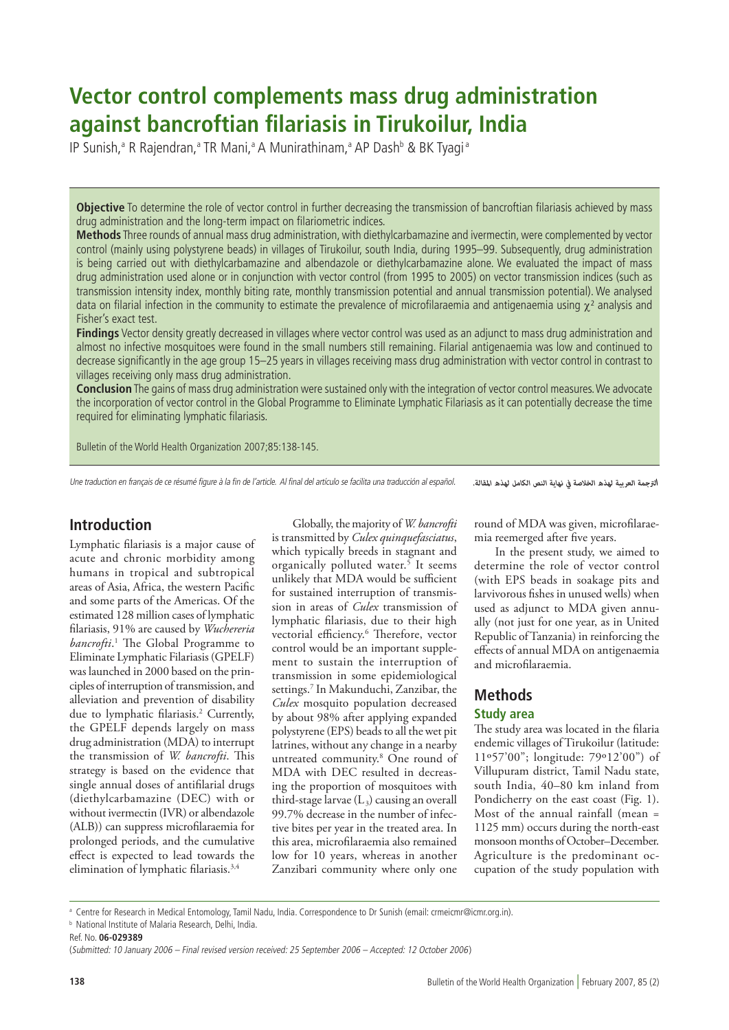# **Vector control complements mass drug administration against bancroftian filariasis in Tirukoilur, India**

IP Sunish,<sup>a</sup> R Rajendran,<sup>a</sup> TR Mani,<sup>a</sup> A Munirathinam,<sup>a</sup> AP Dash<sup>b</sup> & BK Tyagi<sup>a</sup>

**Objective** To determine the role of vector control in further decreasing the transmission of bancroftian filariasis achieved by mass drug administration and the long-term impact on filariometric indices.

**Methods** Three rounds of annual mass drug administration, with diethylcarbamazine and ivermectin, were complemented by vector control (mainly using polystyrene beads) in villages of Tirukoilur, south India, during 1995–99. Subsequently, drug administration is being carried out with diethylcarbamazine and albendazole or diethylcarbamazine alone. We evaluated the impact of mass drug administration used alone or in conjunction with vector control (from 1995 to 2005) on vector transmission indices (such as transmission intensity index, monthly biting rate, monthly transmission potential and annual transmission potential). We analysed data on filarial infection in the community to estimate the prevalence of microfilaraemia and antigenaemia using  $\chi^2$  analysis and Fisher's exact test.

**Findings** Vector density greatly decreased in villages where vector control was used as an adjunct to mass drug administration and almost no infective mosquitoes were found in the small numbers still remaining. Filarial antigenaemia was low and continued to decrease significantly in the age group 15–25 years in villages receiving mass drug administration with vector control in contrast to villages receiving only mass drug administration.

**Conclusion** The gains of mass drug administration were sustained only with the integration of vector control measures. We advocate the incorporation of vector control in the Global Programme to Eliminate Lymphatic Filariasis as it can potentially decrease the time required for eliminating lymphatic filariasis.

Bulletin of the World Health Organization 2007;85:138-145.

Une traduction en français de ce résumé figure à la fin de l'article. Al final del artículo se facilita una traducción al español.

*الرتجمة العربية لهذه الخالصة يف نهاية النص الكامل لهذه املقالة.*

# **Introduction**

Lymphatic filariasis is a major cause of acute and chronic morbidity among humans in tropical and subtropical areas of Asia, Africa, the western Pacific and some parts of the Americas. Of the estimated 128 million cases of lymphatic filariasis, 91% are caused by *Wuchereria bancrofti*. 1 The Global Programme to Eliminate Lymphatic Filariasis (GPELF) was launched in 2000 based on the principles of interruption of transmission, and alleviation and prevention of disability due to lymphatic filariasis.2 Currently, the GPELF depends largely on mass drug administration (MDA) to interrupt the transmission of *W. bancrofti*. This strategy is based on the evidence that single annual doses of antifilarial drugs (diethylcarbamazine (DEC) with or without ivermectin (IVR) or albendazole (ALB)) can suppress microfilaraemia for prolonged periods, and the cumulative effect is expected to lead towards the elimination of lymphatic filariasis.<sup>3,4</sup>

Globally, the majority of *W. bancrofti* is transmitted by *Culex quinquefasciatus*, which typically breeds in stagnant and organically polluted water.<sup>5</sup> It seems unlikely that MDA would be sufficient for sustained interruption of transmission in areas of *Culex* transmission of lymphatic filariasis, due to their high vectorial efficiency.6 Therefore, vector control would be an important supplement to sustain the interruption of transmission in some epidemiological settings.7 In Makunduchi, Zanzibar, the *Culex* mosquito population decreased by about 98% after applying expanded polystyrene (EPS) beads to all the wet pit latrines, without any change in a nearby untreated community.8 One round of MDA with DEC resulted in decreasing the proportion of mosquitoes with third-stage larvae  $(L_3)$  causing an overall 99.7% decrease in the number of infective bites per year in the treated area. In this area, microfilaraemia also remained low for 10 years, whereas in another Zanzibari community where only one

round of MDA was given, microfilaraemia reemerged after five years.

In the present study, we aimed to determine the role of vector control (with EPS beads in soakage pits and larvivorous fishes in unused wells) when used as adjunct to MDA given annually (not just for one year, as in United Republic of Tanzania) in reinforcing the effects of annual MDA on antigenaemia and microfilaraemia.

# **Methods**

## **Study area**

The study area was located in the filaria endemic villages of Tirukoilur (latitude: 11º57'00"; longitude: 79º12'00") of Villupuram district, Tamil Nadu state, south India, 40–80 km inland from Pondicherry on the east coast (Fig. 1). Most of the annual rainfall (mean = 1125 mm) occurs during the north-east monsoon months of October–December. Agriculture is the predominant occupation of the study population with

<sup>a</sup> Centre for Research in Medical Entomology, Tamil Nadu, India. Correspondence to Dr Sunish (email: crmeicmr@icmr.org.in).

**b** National Institute of Malaria Research, Delhi, India.

Ref. No. **06-029389**

<sup>(</sup>Submitted: 10 January 2006 – Final revised version received: 25 September 2006 – Accepted: 12 October 2006)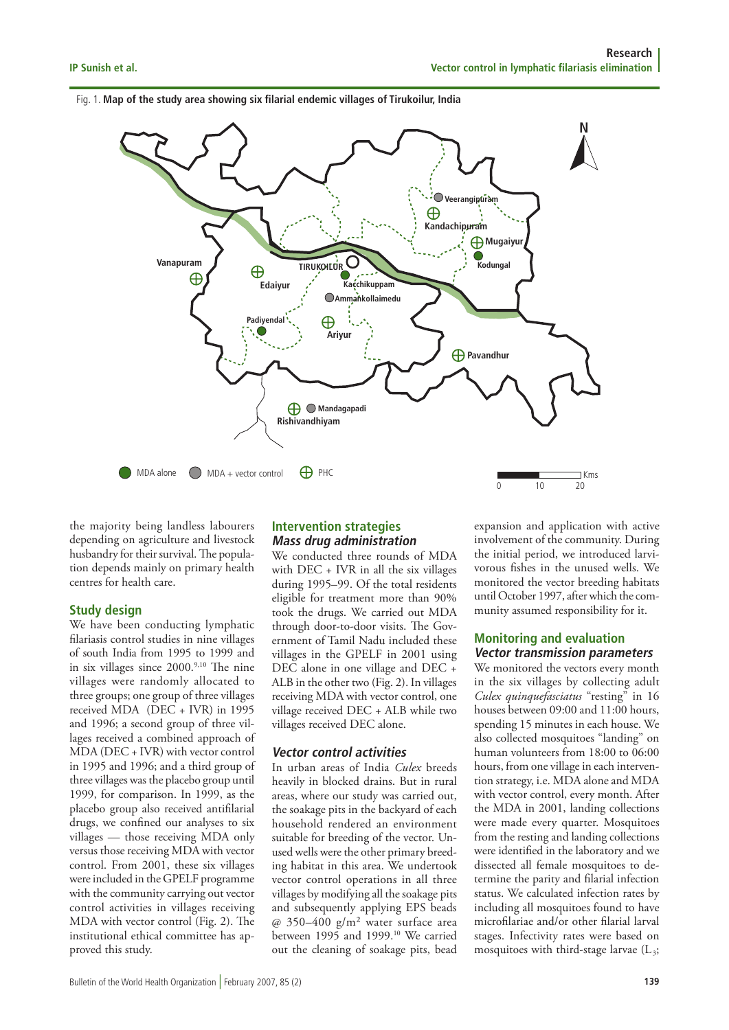Fig. 1. **Map of the study area showing six filarial endemic villages of Tirukoilur, India**



the majority being landless labourers depending on agriculture and livestock husbandry for their survival. The population depends mainly on primary health centres for health care.

#### **Study design**

We have been conducting lymphatic filariasis control studies in nine villages of south India from 1995 to 1999 and in six villages since 2000.9,10 The nine villages were randomly allocated to three groups; one group of three villages received MDA (DEC + IVR) in 1995 and 1996; a second group of three villages received a combined approach of MDA (DEC + IVR) with vector control in 1995 and 1996; and a third group of three villages was the placebo group until 1999, for comparison. In 1999, as the placebo group also received antifilarial drugs, we confined our analyses to six villages — those receiving MDA only versus those receiving MDA with vector control. From 2001, these six villages were included in the GPELF programme with the community carrying out vector control activities in villages receiving MDA with vector control (Fig. 2). The institutional ethical committee has approved this study.

#### **Intervention strategies Mass drug administration**

We conducted three rounds of MDA with DEC + IVR in all the six villages during 1995–99. Of the total residents eligible for treatment more than 90% took the drugs. We carried out MDA through door-to-door visits. The Government of Tamil Nadu included these villages in the GPELF in 2001 using DEC alone in one village and DEC + ALB in the other two (Fig. 2). In villages receiving MDA with vector control, one village received DEC + ALB while two villages received DEC alone.

#### **Vector control activities**

In urban areas of India *Culex* breeds heavily in blocked drains. But in rural areas, where our study was carried out, the soakage pits in the backyard of each household rendered an environment suitable for breeding of the vector. Unused wells were the other primary breeding habitat in this area. We undertook vector control operations in all three villages by modifying all the soakage pits and subsequently applying EPS beads @ 350–400 g/m² water surface area between 1995 and 1999.10 We carried out the cleaning of soakage pits, bead

expansion and application with active involvement of the community. During the initial period, we introduced larvivorous fishes in the unused wells. We monitored the vector breeding habitats until October 1997, after which the community assumed responsibility for it.

#### **Monitoring and evaluation Vector transmission parameters**

We monitored the vectors every month in the six villages by collecting adult *Culex quinquefasciatus* "resting" in 16 houses between 09:00 and 11:00 hours, spending 15 minutes in each house. We also collected mosquitoes "landing" on human volunteers from 18:00 to 06:00 hours, from one village in each intervention strategy, i.e. MDA alone and MDA with vector control, every month. After the MDA in 2001, landing collections were made every quarter. Mosquitoes from the resting and landing collections were identified in the laboratory and we dissected all female mosquitoes to determine the parity and filarial infection status. We calculated infection rates by including all mosquitoes found to have microfilariae and/or other filarial larval stages. Infectivity rates were based on mosquitoes with third-stage larvae  $(L_3;$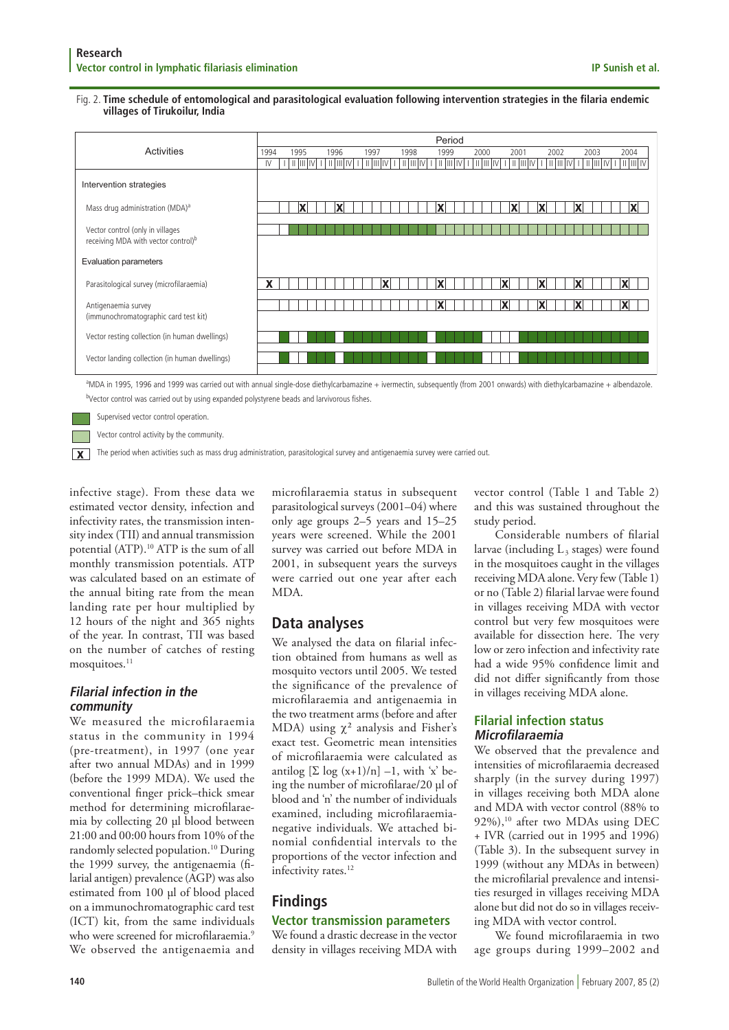#### Fig. 2. Time schedule of entomological and parasitological evaluation following intervention strategies in the filaria endemic villages of Tirukoilur, India



aMDA in 1995, 1996 and 1999 was carried out with annual single-dose diethylcarbamazine + ivermectin, subsequently (from 2001 onwards) with diethylcarbamazine + albendazole. bVector control was carried out by using expanded polystyrene beads and laryivorous fishes.

Supervised vector control operation.

Vector control activity by the community.

The period when activities such as mass drug administration, parasitological survey and antigenaemia survey were carried out.

infective stage). From these data we estimated vector density, infection and infectivity rates, the transmission intensity index (TII) and annual transmission potential (ATP).<sup>10</sup> ATP is the sum of all monthly transmission potentials. ATP was calculated based on an estimate of the annual biting rate from the mean landing rate per hour multiplied by 12 hours of the night and 365 nights of the year. In contrast, TII was based on the number of catches of resting mosquitoes.<sup>11</sup>

## **Filarial infection in the** community

We measured the microfilaraemia status in the community in 1994 (pre-treatment), in 1997 (one year after two annual MDAs) and in 1999 (before the 1999 MDA). We used the conventional finger prick-thick smear method for determining microfilaraemia by collecting 20 µl blood between 21:00 and 00:00 hours from 10% of the randomly selected population.<sup>10</sup> During the 1999 survey, the antigenaemia (filarial antigen) prevalence (AGP) was also estimated from 100 µl of blood placed on a immunochromatographic card test (ICT) kit, from the same individuals who were screened for microfilaraemia.<sup>9</sup> We observed the antigenaemia and

microfilaraemia status in subsequent parasitological surveys (2001-04) where only age groups 2–5 years and 15–25 years were screened. While the 2001 survey was carried out before MDA in 2001, in subsequent years the surveys were carried out one year after each MDA.

## Data analyses

We analysed the data on filarial infection obtained from humans as well as mosquito vectors until 2005. We tested the significance of the prevalence of microfilaraemia and antigenaemia in the two treatment arms (before and after MDA) using  $\chi^2$  analysis and Fisher's exact test. Geometric mean intensities of microfilaraemia were calculated as antilog  $[\Sigma \log (x+1)/n]$  -1, with 'x' being the number of microfilarae/20 ul of blood and 'n' the number of individuals examined, including microfilaraemianegative individuals. We attached binomial confidential intervals to the proportions of the vector infection and infectivity rates.<sup>12</sup>

# **Findings**

#### **Vector transmission parameters**

We found a drastic decrease in the vector density in villages receiving MDA with vector control (Table 1 and Table 2) and this was sustained throughout the study period.

Considerable numbers of filarial larvae (including  $L_3$  stages) were found in the mosquitoes caught in the villages receiving MDA alone. Very few (Table 1) or no (Table 2) filarial larvae were found in villages receiving MDA with vector control but very few mosquitoes were available for dissection here. The very low or zero infection and infectivity rate had a wide 95% confidence limit and did not differ significantly from those in villages receiving MDA alone.

## **Filarial infection status Microfilaraemia**

We observed that the prevalence and intensities of microfilaraemia decreased sharply (in the survey during 1997) in villages receiving both MDA alone and MDA with vector control (88% to 92%),<sup>10</sup> after two MDAs using DEC + IVR (carried out in 1995 and 1996) (Table 3). In the subsequent survey in 1999 (without any MDAs in between) the microfilarial prevalence and intensities resurged in villages receiving MDA alone but did not do so in villages receiving MDA with vector control.

We found microfilaraemia in two age groups during 1999-2002 and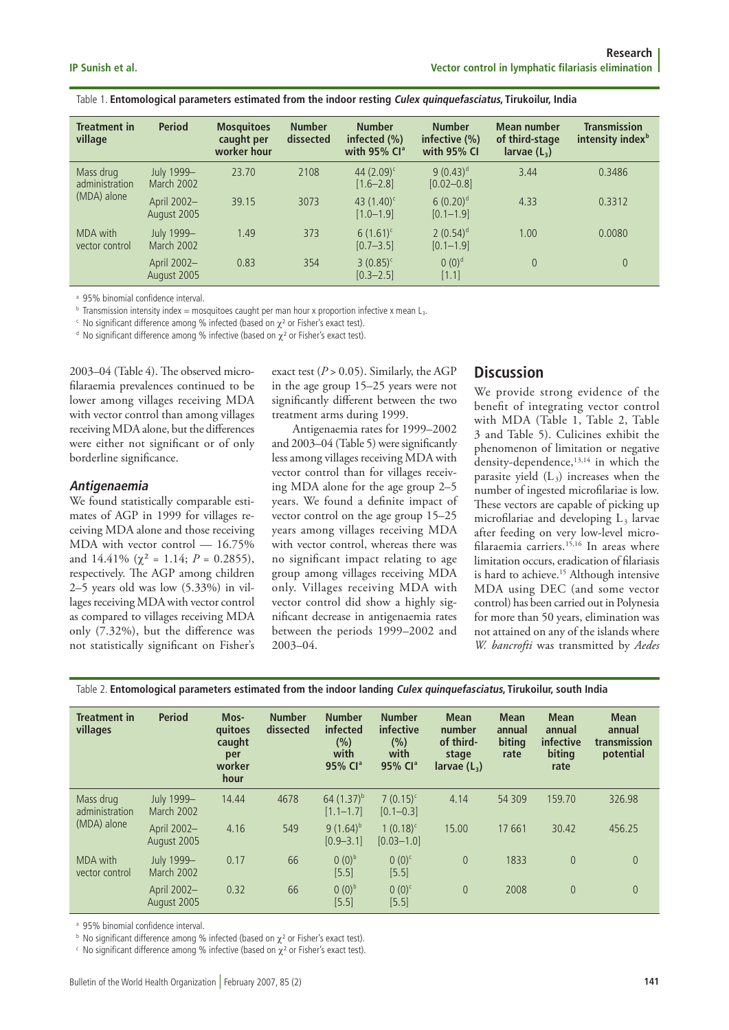| Table 1. Entomological parameters estimated from the indoor resting Culex quinquefasciatus, Tirukoilur, India |  |  |  |  |  |  |  |  |  |
|---------------------------------------------------------------------------------------------------------------|--|--|--|--|--|--|--|--|--|
|---------------------------------------------------------------------------------------------------------------|--|--|--|--|--|--|--|--|--|

| <b>Treatment in</b><br>village | <b>Period</b>                   | <b>Mosquitoes</b><br>caught per<br>worker hour | <b>Number</b><br>dissected | <b>Number</b><br>infected $(\% )$<br>with 95% $Cla$ | <b>Number</b><br>infective $(\% )$<br>with 95% CI | Mean number<br>of third-stage<br>larvae (L <sub>3</sub> ) | <b>Transmission</b><br>intensity index <sup>b</sup> |
|--------------------------------|---------------------------------|------------------------------------------------|----------------------------|-----------------------------------------------------|---------------------------------------------------|-----------------------------------------------------------|-----------------------------------------------------|
| Mass drug<br>administration    | July 1999-<br><b>March 2002</b> | 23.70                                          | 2108                       | 44 $(2.09)^c$<br>$[1.6 - 2.8]$                      | $9(0.43)^d$<br>$[0.02 - 0.8]$                     | 3.44                                                      | 0.3486                                              |
| (MDA) alone                    | April 2002-<br>August 2005      | 39.15                                          | 3073                       | 43 $(1.40)$ <sup>c</sup><br>$[1.0 - 1.9]$           | $6(0.20)^d$<br>$[0.1 - 1.9]$                      | 4.33                                                      | 0.3312                                              |
| MDA with<br>vector control     | July 1999-<br>March 2002        | 1.49                                           | 373                        | $6(1.61)^c$<br>$[0.7 - 3.5]$                        | $2(0.54)^d$<br>$[0.1 - 1.9]$                      | 1.00                                                      | 0.0080                                              |
|                                | April 2002-<br>August 2005      | 0.83                                           | 354                        | $3(0.85)^c$<br>$[0.3 - 2.5]$                        | $0(0)^d$<br>[1.1]                                 | $\overline{0}$                                            | 0                                                   |

<sup>a</sup> 95% binomial confidence interval.

 $b$  Transmission intensity index = mosquitoes caught per man hour x proportion infective x mean  $L_3$ .

 $\epsilon$  No significant difference among % infected (based on  $\chi^2$  or Fisher's exact test).

<sup>d</sup> No significant difference among % infective (based on  $\chi^2$  or Fisher's exact test).

2003–04 (Table 4). The observed microfilaraemia prevalences continued to be lower among villages receiving MDA with vector control than among villages receiving MDA alone, but the differences were either not significant or of only borderline significance.

#### **Antigenaemia**

We found statistically comparable estimates of AGP in 1999 for villages receiving MDA alone and those receiving MDA with vector control — 16.75% and 14.41% ( $\chi^2$  = 1.14; *P* = 0.2855), respectively. The AGP among children 2–5 years old was low (5.33%) in villages receiving MDA with vector control as compared to villages receiving MDA only (7.32%), but the difference was not statistically significant on Fisher's

exact test  $(P > 0.05)$ . Similarly, the AGP in the age group 15–25 years were not significantly different between the two treatment arms during 1999.

Antigenaemia rates for 1999–2002 and 2003–04 (Table 5) were significantly less among villages receiving MDA with vector control than for villages receiving MDA alone for the age group 2–5 years. We found a definite impact of vector control on the age group 15–25 years among villages receiving MDA with vector control, whereas there was no significant impact relating to age group among villages receiving MDA only. Villages receiving MDA with vector control did show a highly significant decrease in antigenaemia rates between the periods 1999–2002 and 2003–04.

### **Discussion**

We provide strong evidence of the benefit of integrating vector control with MDA (Table 1, Table 2, Table 3 and Table 5). Culicines exhibit the phenomenon of limitation or negative density-dependence,<sup>13,14</sup> in which the parasite yield  $(L_3)$  increases when the number of ingested microfilariae is low. These vectors are capable of picking up microfilariae and developing  $L_3$  larvae after feeding on very low-level microfilaraemia carriers.15,16 In areas where limitation occurs, eradication of filariasis is hard to achieve.<sup>15</sup> Although intensive MDA using DEC (and some vector control) has been carried out in Polynesia for more than 50 years, elimination was not attained on any of the islands where *W. bancrofti* was transmitted by *Aedes* 

Table 2. **Entomological parameters estimated from the indoor landing Culex quinquefasciatus, Tirukoilur, south India**

| <b>Treatment in</b><br>villages | <b>Period</b>                   | Mos-<br>quitoes<br>caught<br>per<br>worker<br>hour | <b>Number</b><br>dissected | <b>Number</b><br>infected<br>(% )<br>with<br>95% Cl <sup>a</sup> | <b>Number</b><br>infective<br>(%)<br>with<br>95% Cl <sup>a</sup> | <b>Mean</b><br>number<br>of third-<br>stage<br>larvae $(L_3)$ | <b>Mean</b><br>annual<br>biting<br>rate | <b>Mean</b><br>annual<br>infective<br>biting<br>rate | <b>Mean</b><br>annual<br>transmission<br>potential |
|---------------------------------|---------------------------------|----------------------------------------------------|----------------------------|------------------------------------------------------------------|------------------------------------------------------------------|---------------------------------------------------------------|-----------------------------------------|------------------------------------------------------|----------------------------------------------------|
| Mass drug<br>administration     | July 1999-<br><b>March 2002</b> | 14.44                                              | 4678                       | 64 $(1.37)^{b}$<br>$[1.1 - 1.7]$                                 | $7(0.15)^c$<br>$[0.1 - 0.3]$                                     | 4.14                                                          | 54 309                                  | 159.70                                               | 326.98                                             |
| (MDA) alone                     | April 2002-<br>August 2005      | 4.16                                               | 549                        | $9(1.64)^{b}$<br>$[0.9 - 3.1]$                                   | $1(0.18)^c$<br>$[0.03 - 1.0]$                                    | 15.00                                                         | 17 661                                  | 30.42                                                | 456.25                                             |
| MDA with<br>vector control      | July 1999-<br><b>March 2002</b> | 0.17                                               | 66                         | $0(0)^{b}$<br>$[5.5]$                                            | $0(0)^{c}$<br>$[5.5]$                                            | $\overline{0}$                                                | 1833                                    | $\Omega$                                             | $\overline{0}$                                     |
|                                 | April 2002-<br>August 2005      | 0.32                                               | 66                         | $0(0)^{b}$<br>$[5.5]$                                            | $0(0)^{c}$<br>$[5.5]$                                            | $\overline{0}$                                                | 2008                                    | $\overline{0}$                                       | $\overline{0}$                                     |

<sup>a</sup> 95% binomial confidence interval.

<sup>b</sup> No significant difference among % infected (based on  $\gamma^2$  or Fisher's exact test).

<sup>c</sup> No significant difference among % infective (based on  $\chi^2$  or Fisher's exact test).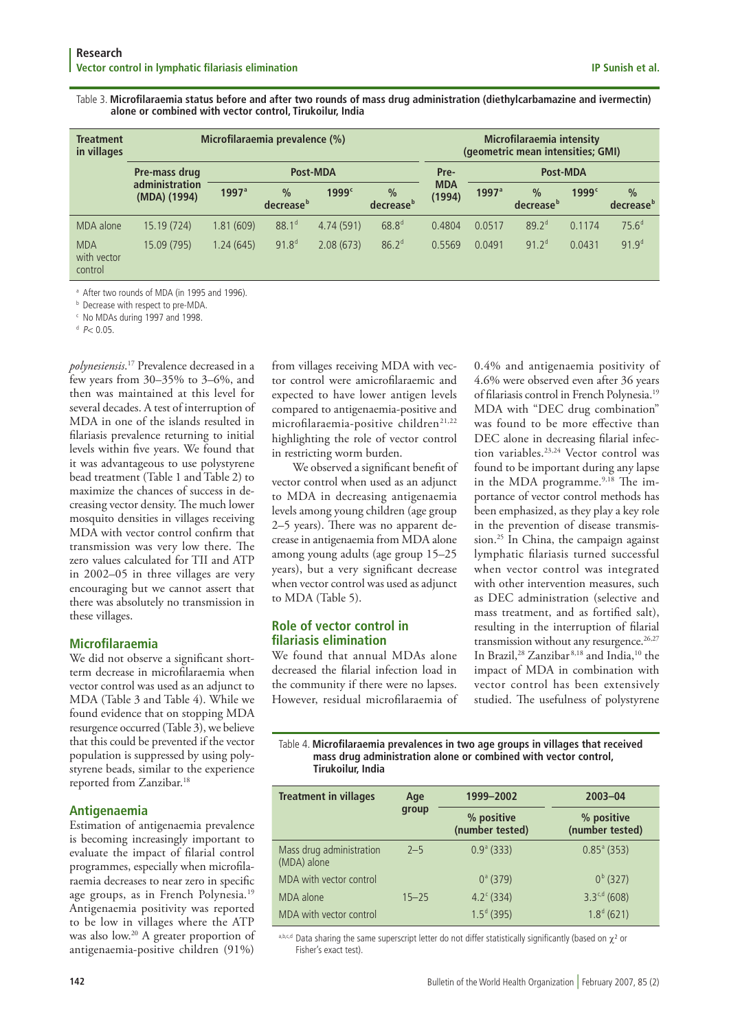Table 3. **Microfilaraemia status before and after two rounds of mass drug administration (diethylcarbamazine and ivermectin) alone or combined with vector control, Tirukoilur, India**

| <b>Treatment</b><br>in villages      | Microfilaraemia prevalence (%) |                   |                                        |                   |                                        | Microfilaraemia intensity<br>(geometric mean intensities; GMI) |                   |                                        |                   |                                        |
|--------------------------------------|--------------------------------|-------------------|----------------------------------------|-------------------|----------------------------------------|----------------------------------------------------------------|-------------------|----------------------------------------|-------------------|----------------------------------------|
|                                      | Pre-mass drug                  | <b>Post-MDA</b>   |                                        |                   | Pre-                                   | Post-MDA                                                       |                   |                                        |                   |                                        |
|                                      | administration<br>(MDA) (1994) | 1997 <sup>a</sup> | $\frac{0}{0}$<br>decrease <sup>b</sup> | 1999 <sup>c</sup> | $\frac{0}{0}$<br>decrease <sup>b</sup> | <b>MDA</b><br>(1994)                                           | 1997 <sup>a</sup> | $\frac{0}{0}$<br>decrease <sup>b</sup> | 1999 <sup>c</sup> | $\frac{0}{0}$<br>decrease <sup>b</sup> |
| MDA alone                            | 15.19 (724)                    | 1.81(609)         | 88.1 <sup>d</sup>                      | 4.74 (591)        | $68.8^{d}$                             | 0.4804                                                         | 0.0517            | $89.2^{d}$                             | 0.1174            | 75.6 <sup>d</sup>                      |
| <b>MDA</b><br>with vector<br>control | 15.09 (795)                    | 1.24 (645)        | $91.8^{d}$                             | 2.08(673)         | 86.2 <sup>d</sup>                      | 0.5569                                                         | 0.0491            | $91.2^d$                               | 0.0431            | 91.9 <sup>d</sup>                      |

<sup>a</sup> After two rounds of MDA (in 1995 and 1996).

**b** Decrease with respect to pre-MDA.

<sup>c</sup> No MDAs during 1997 and 1998.

 $^d$  P < 0.05.

*polynesiensis*. 17 Prevalence decreased in a few years from 30–35% to 3–6%, and then was maintained at this level for several decades. A test of interruption of MDA in one of the islands resulted in filariasis prevalence returning to initial levels within five years. We found that it was advantageous to use polystyrene bead treatment (Table 1 and Table 2) to maximize the chances of success in decreasing vector density. The much lower mosquito densities in villages receiving MDA with vector control confirm that transmission was very low there. The zero values calculated for TII and ATP in 2002–05 in three villages are very encouraging but we cannot assert that there was absolutely no transmission in these villages.

#### **Microfilaraemia**

We did not observe a significant shortterm decrease in microfilaraemia when vector control was used as an adjunct to MDA (Table 3 and Table 4). While we found evidence that on stopping MDA resurgence occurred (Table 3), we believe that this could be prevented if the vector population is suppressed by using polystyrene beads, similar to the experience reported from Zanzibar.<sup>18</sup>

#### **Antigenaemia**

Estimation of antigenaemia prevalence is becoming increasingly important to evaluate the impact of filarial control programmes, especially when microfilaraemia decreases to near zero in specific age groups, as in French Polynesia.<sup>19</sup> Antigenaemia positivity was reported to be low in villages where the ATP was also low.20 A greater proportion of antigenaemia-positive children (91%)

from villages receiving MDA with vector control were amicrofilaraemic and expected to have lower antigen levels compared to antigenaemia-positive and microfilaraemia-positive children<sup>21,22</sup> highlighting the role of vector control in restricting worm burden.

We observed a significant benefit of vector control when used as an adjunct to MDA in decreasing antigenaemia levels among young children (age group 2–5 years). There was no apparent decrease in antigenaemia from MDA alone among young adults (age group 15–25 years), but a very significant decrease when vector control was used as adjunct to MDA (Table 5).

### **Role of vector control in filariasis elimination**

We found that annual MDAs alone decreased the filarial infection load in the community if there were no lapses. However, residual microfilaraemia of 0.4% and antigenaemia positivity of 4.6% were observed even after 36 years of filariasis control in French Polynesia.19 MDA with "DEC drug combination" was found to be more effective than DEC alone in decreasing filarial infection variables.23,24 Vector control was found to be important during any lapse in the MDA programme.<sup>9,18</sup> The importance of vector control methods has been emphasized, as they play a key role in the prevention of disease transmission.25 In China, the campaign against lymphatic filariasis turned successful when vector control was integrated with other intervention measures, such as DEC administration (selective and mass treatment, and as fortified salt), resulting in the interruption of filarial transmission without any resurgence.<sup>26,27</sup> In Brazil,<sup>28</sup> Zanzibar<sup>8,18</sup> and India,<sup>10</sup> the impact of MDA in combination with vector control has been extensively studied. The usefulness of polystyrene

Table 4. **Microfilaraemia prevalences in two age groups in villages that received mass drug administration alone or combined with vector control, Tirukoilur, India**

| <b>Treatment in villages</b>            | Age       | 1999-2002                     | $2003 - 04$                   |  |  |
|-----------------------------------------|-----------|-------------------------------|-------------------------------|--|--|
|                                         | group     | % positive<br>(number tested) | % positive<br>(number tested) |  |  |
| Mass drug administration<br>(MDA) alone | $2 - 5$   | $0.9a$ (333)                  | $0.85a$ (353)                 |  |  |
| MDA with vector control                 |           | $0^a$ (379)                   | $0^{b}$ (327)                 |  |  |
| MDA alone                               | $15 - 25$ | $4.2^{\circ}$ (334)           | $3.3^{c,d}$ (608)             |  |  |
| MDA with vector control                 |           | $1.5d$ (395)                  | $1.8d$ (621)                  |  |  |

a,b,c,d Data sharing the same superscript letter do not differ statistically significantly (based on  $\gamma^2$  or Fisher's exact test).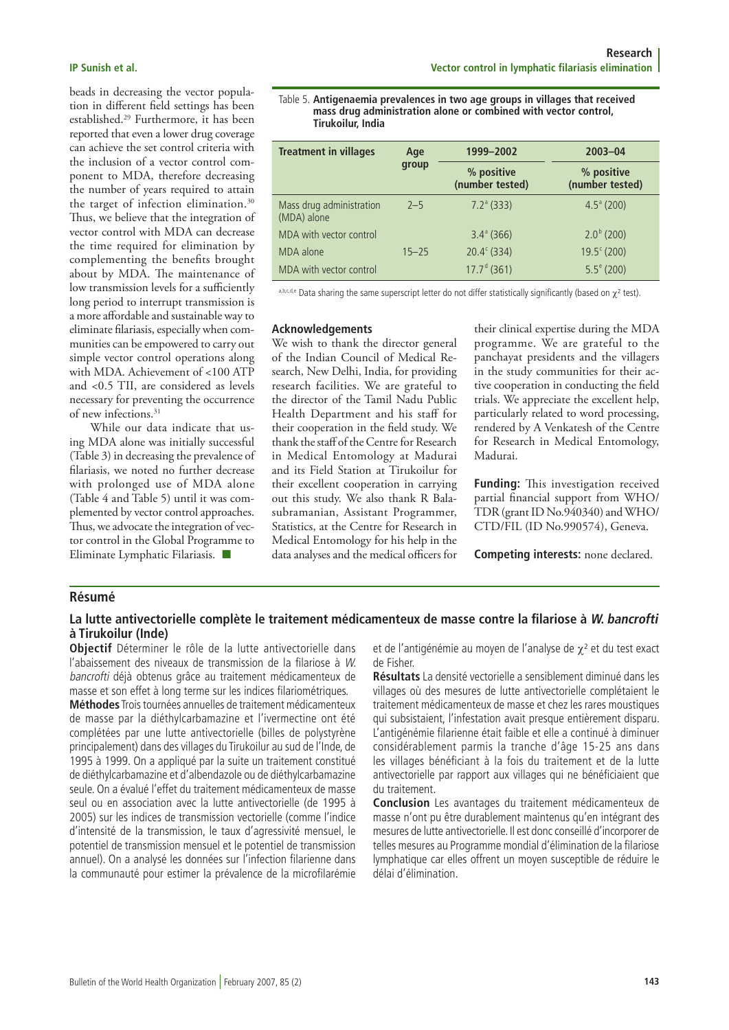beads in decreasing the vector population in different field settings has been established.29 Furthermore, it has been reported that even a lower drug coverage can achieve the set control criteria with the inclusion of a vector control component to MDA, therefore decreasing the number of years required to attain the target of infection elimination.30 Thus, we believe that the integration of vector control with MDA can decrease the time required for elimination by complementing the benefits brought about by MDA. The maintenance of low transmission levels for a sufficiently long period to interrupt transmission is a more affordable and sustainable way to eliminate filariasis, especially when communities can be empowered to carry out simple vector control operations along with MDA. Achievement of <100 ATP and <0.5 TII, are considered as levels necessary for preventing the occurrence of new infections.<sup>31</sup>

While our data indicate that using MDA alone was initially successful (Table 3) in decreasing the prevalence of filariasis, we noted no further decrease with prolonged use of MDA alone (Table 4 and Table 5) until it was complemented by vector control approaches. Thus, we advocate the integration of vector control in the Global Programme to Eliminate Lymphatic Filariasis.  $\blacksquare$ 

Table 5. **Antigenaemia prevalences in two age groups in villages that received mass drug administration alone or combined with vector control, Tirukoilur, India**

| <b>Treatment in villages</b>            | Age       | 1999-2002                     | $2003 - 04$                   |  |  |
|-----------------------------------------|-----------|-------------------------------|-------------------------------|--|--|
|                                         | group     | % positive<br>(number tested) | % positive<br>(number tested) |  |  |
| Mass drug administration<br>(MDA) alone | $2 - 5$   | $7.2a$ (333)                  | $4.5^{\circ}$ (200)           |  |  |
| MDA with vector control                 |           | $3.4^{\circ}$ (366)           | $2.0b$ (200)                  |  |  |
| MDA alone                               | $15 - 25$ | $20.4^{\circ}$ (334)          | $19.5^{\circ}$ (200)          |  |  |
| MDA with vector control                 |           | $17.7^d$ (361)                | $5.5^{\circ}$ (200)           |  |  |

a,b,c,d,e Data sharing the same superscript letter do not differ statistically significantly (based on  $\chi^2$  test).

#### **Acknowledgements**

We wish to thank the director general of the Indian Council of Medical Research, New Delhi, India, for providing research facilities. We are grateful to the director of the Tamil Nadu Public Health Department and his staff for their cooperation in the field study. We thank the staff of the Centre for Research in Medical Entomology at Madurai and its Field Station at Tirukoilur for their excellent cooperation in carrying out this study. We also thank R Balasubramanian, Assistant Programmer, Statistics, at the Centre for Research in Medical Entomology for his help in the data analyses and the medical officers for their clinical expertise during the MDA programme. We are grateful to the panchayat presidents and the villagers in the study communities for their active cooperation in conducting the field trials. We appreciate the excellent help, particularly related to word processing, rendered by A Venkatesh of the Centre for Research in Medical Entomology, Madurai.

**Funding:** This investigation received partial financial support from WHO/ TDR (grant ID No.940340) and WHO/ CTD/FIL (ID No.990574), Geneva.

**Competing interests:** none declared.

#### **Résumé**

### **La lutte antivectorielle complète le traitement médicamenteux de masse contre la filariose à W. bancrofti à Tirukoilur (Inde)**

**Objectif** Déterminer le rôle de la lutte antivectorielle dans l'abaissement des niveaux de transmission de la filariose à W. bancrofti déjà obtenus grâce au traitement médicamenteux de masse et son effet à long terme sur les indices filariométriques.

**Méthodes** Trois tournées annuelles de traitement médicamenteux de masse par la diéthylcarbamazine et l'ivermectine ont été complétées par une lutte antivectorielle (billes de polystyrène principalement) dans des villages du Tirukoilur au sud de l'Inde, de 1995 à 1999. On a appliqué par la suite un traitement constitué de diéthylcarbamazine et d'albendazole ou de diéthylcarbamazine seule. On a évalué l'effet du traitement médicamenteux de masse seul ou en association avec la lutte antivectorielle (de 1995 à 2005) sur les indices de transmission vectorielle (comme l'indice d'intensité de la transmission, le taux d'agressivité mensuel, le potentiel de transmission mensuel et le potentiel de transmission annuel). On a analysé les données sur l'infection filarienne dans la communauté pour estimer la prévalence de la microfilarémie

et de l'antigénémie au moyen de l'analyse de  $\chi^2$  et du test exact de Fisher.

**Résultats** La densité vectorielle a sensiblement diminué dans les villages où des mesures de lutte antivectorielle complétaient le traitement médicamenteux de masse et chez les rares moustiques qui subsistaient, l'infestation avait presque entièrement disparu. L'antigénémie filarienne était faible et elle a continué à diminuer considérablement parmis la tranche d'âge 15-25 ans dans les villages bénéficiant à la fois du traitement et de la lutte antivectorielle par rapport aux villages qui ne bénéficiaient que du traitement.

**Conclusion** Les avantages du traitement médicamenteux de masse n'ont pu être durablement maintenus qu'en intégrant des mesures de lutte antivectorielle. Il est donc conseillé d'incorporer de telles mesures au Programme mondial d'élimination de la filariose lymphatique car elles offrent un moyen susceptible de réduire le délai d'élimination.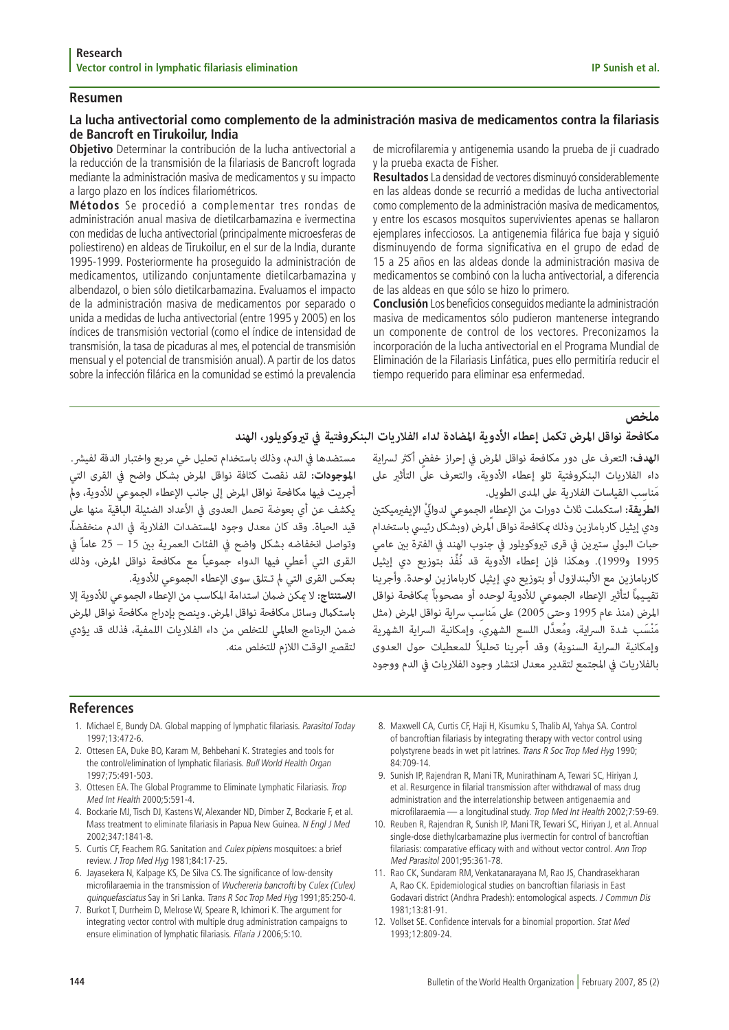#### **Resumen**

### **La lucha antivectorial como complemento de la administración masiva de medicamentos contra la filariasis de Bancroft en Tirukoilur, India**

**Objetivo** Determinar la contribución de la lucha antivectorial a la reducción de la transmisión de la filariasis de Bancroft lograda mediante la administración masiva de medicamentos y su impacto a largo plazo en los índices filariométricos.

**Métodos** Se procedió a complementar tres rondas de administración anual masiva de dietilcarbamazina e ivermectina con medidas de lucha antivectorial (principalmente microesferas de poliestireno) en aldeas de Tirukoilur, en el sur de la India, durante 1995-1999. Posteriormente ha proseguido la administración de medicamentos, utilizando conjuntamente dietilcarbamazina y albendazol, o bien sólo dietilcarbamazina. Evaluamos el impacto de la administración masiva de medicamentos por separado o unida a medidas de lucha antivectorial (entre 1995 y 2005) en los índices de transmisión vectorial (como el índice de intensidad de transmisión, la tasa de picaduras al mes, el potencial de transmisión mensual y el potencial de transmisión anual). A partir de los datos sobre la infección filárica en la comunidad se estimó la prevalencia de microfilaremia y antigenemia usando la prueba de ji cuadrado y la prueba exacta de Fisher.

**Resultados** La densidad de vectores disminuyó considerablemente en las aldeas donde se recurrió a medidas de lucha antivectorial como complemento de la administración masiva de medicamentos, y entre los escasos mosquitos supervivientes apenas se hallaron ejemplares infecciosos. La antigenemia filárica fue baja y siguió disminuyendo de forma significativa en el grupo de edad de 15 a 25 años en las aldeas donde la administración masiva de medicamentos se combinó con la lucha antivectorial, a diferencia de las aldeas en que sólo se hizo lo primero.

**Conclusión** Los beneficios conseguidos mediante la administración masiva de medicamentos sólo pudieron mantenerse integrando un componente de control de los vectores. Preconizamos la incorporación de la lucha antivectorial en el Programa Mundial de Eliminación de la Filariasis Linfática, pues ello permitiría reducir el tiempo requerido para eliminar esa enfermedad.

**ملخص**<br>م**كافحة نواقل المرض تكمل إعطاء الأدوية المضادة لداء الفلاريات البنكروفتية في تيروكويلور، الهند<br>الهدف: التعرف على دور مكافحة نواقل المرض في إحراز خفض أكثر لسراية<br>الهدف: التعرف على دور مكافحة نواقل المرض في إحراز خفض** 

مستضدها في الدم، وذلك باستخدام تحليل خي مربع واختبار الدقة لفيشر.<br>ا**لموجودات:** لقد نقصت كثافة نواقل المرض بشكل واضح في القرى التي<br>ا**لموجودات:** لقد نقصت كثافة نواقل المرض بشكل واضح في القرى التي<br>يكشف عن أي بعوضة تحمل العدو

#### **References**

- 1. Michael E, Bundy DA. Global mapping of lymphatic filariasis. Parasitol Today 1997;13:472-6.
- 2. Ottesen EA, Duke BO, Karam M, Behbehani K. Strategies and tools for the control/elimination of lymphatic filariasis. Bull World Health Organ 1997;75:491-503.
- 3. Ottesen EA. The Global Programme to Eliminate Lymphatic Filariasis. Trop Med Int Health 2000;5:591-4.
- 4. Bockarie MJ, Tisch DJ, Kastens W, Alexander ND, Dimber Z, Bockarie F, et al. Mass treatment to eliminate filariasis in Papua New Guinea. N Engl J Med 2002;347:1841-8.
- 5. Curtis CF, Feachem RG. Sanitation and Culex pipiens mosquitoes: a brief review. J Trop Med Hyg 1981;84:17-25.
- 6. Jayasekera N, Kalpage KS, De Silva CS. The significance of low-density microfilaraemia in the transmission of Wuchereria bancrofti by Culex (Culex) quinquefasciatus Say in Sri Lanka. Trans R Soc Trop Med Hyg 1991;85:250-4.
- 7. Burkot T, Durrheim D, Melrose W, Speare R, Ichimori K. The argument for integrating vector control with multiple drug administration campaigns to ensure elimination of lymphatic filariasis. Filaria J 2006;5:10.
- 8. Maxwell CA, Curtis CF, Haji H, Kisumku S, Thalib AI, Yahya SA. Control of bancroftian filariasis by integrating therapy with vector control using polystyrene beads in wet pit latrines. Trans R Soc Trop Med Hyg 1990; 84:709-14.
- 9. Sunish IP, Rajendran R, Mani TR, Munirathinam A, Tewari SC, Hiriyan J, et al. Resurgence in filarial transmission after withdrawal of mass drug administration and the interrelationship between antigenaemia and microfilaraemia — a longitudinal study. Trop Med Int Health 2002;7:59-69.
- 10. Reuben R, Rajendran R, Sunish IP, Mani TR, Tewari SC, Hiriyan J, et al. Annual single-dose diethylcarbamazine plus ivermectin for control of bancroftian filariasis: comparative efficacy with and without vector control. Ann Trop Med Parasitol 2001;95:361-78.
- 11. Rao CK, Sundaram RM, Venkatanarayana M, Rao JS, Chandrasekharan A, Rao CK. Epidemiological studies on bancroftian filariasis in East Godavari district (Andhra Pradesh): entomological aspects. J Commun Dis 1981;13:81-91.
- 12. Vollset SE. Confidence intervals for a binomial proportion. Stat Med 1993;12:809-24.